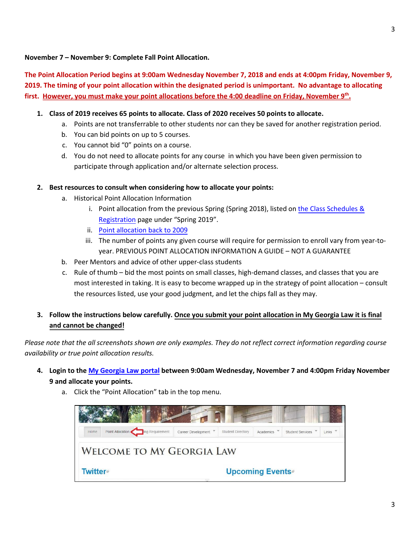#### **November íï – November : Complete íñ Fall Point Allocation.**

**The Point Allocation Period begins at 9:00am Wednesday November íï, 201õ a nd ends at 4:00pm Friday, November ,íñ 201õ. The timing of your point allocation within the designated period is unimportant. No advantage to allocating first. However, you must make your point allocations before the 4:00 deadline on Friday, Novemberíñ hš .**

## $\boxtimes$  **Class of 20 Eleceives** 65 points to allocate. Class of 202 Feceives 50 points to allocate.

- a. Points are not transferrable to other students nor can they be saved for another registration period.
- b. You can bid points on up to 5 courses.
- c. You cannot bid "0" points on a course.
- d. You do not need to allocate points for any course in which you have been given permission to participate through application and/or alternate selection process.

## **EXECUTE:** Best resources to consult when considering how to allocate your points:

- a. Historical Point Allocation Information
	- i. Point allocation from the previous Spring (Spring 2019), listed on [the Class Schedules &](http://law.uga.edu/class-schedules-registration) [Registration](http://law.uga.edu/class-schedules-registration) page under "Spring 2020".
	- ii. [Point allocation back](http://digitalcommons.law.uga.edu/semester/) to 2009
	- iii. The number of points any given course will require for permission to enroll vary from year-toyear. PREVIOUS POINT ALLOCATION INFORMATION A GUIDE – NOT A GUARANTEE
- b. Peer Mentors and advice of other upper-class students
- c. Rule of thumb bid the most points on small classes, high-demand classes, and classes that you are most interested in taking. It is easy to become wrapped up in the strategy of point allocation – consult the resources listed, use your good judgment, and let the chips fall as they may.
- $\Box$  Follow the instructions below carefully. Once you submit your point allocation in My Georgia Law it is final **and cannot be changed!**

*Please note that the all screenshots shown are only examples. They do not reflect correct information regarding course availability or true point allocation results.*

*ðX* **Login to the My [Georgia Law portal](http://portal.law.uga.edu/) between 9:00am Wednesday, November íï and 4:00pm Friday November 15 and allocate your points.**



a. Click the "Point Allocation" tab in the top menu.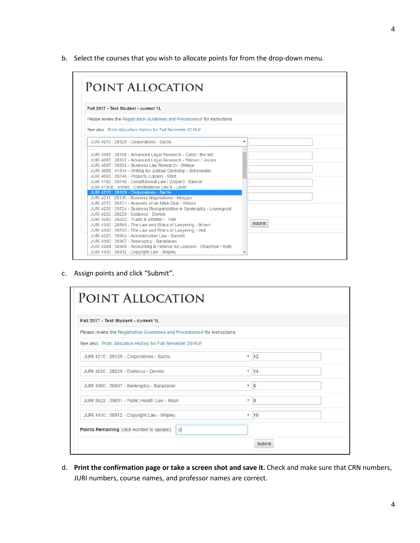b. Select the courses that you wish to allocate points for from the drop-down menu.

| Fall 2017 - Test Student - current 1L                                                                                                                                                                                                                                                                                                                                                                                                                                                                     |                         |
|-----------------------------------------------------------------------------------------------------------------------------------------------------------------------------------------------------------------------------------------------------------------------------------------------------------------------------------------------------------------------------------------------------------------------------------------------------------------------------------------------------------|-------------------------|
| Please review the Registration Guidelines and Procedures ® for instructions.                                                                                                                                                                                                                                                                                                                                                                                                                              |                         |
| See also: Point Allocation History for Fall Semester 2016@                                                                                                                                                                                                                                                                                                                                                                                                                                                |                         |
| JURI 4210 : 28129 - Corporations - Sachs                                                                                                                                                                                                                                                                                                                                                                                                                                                                  | $\overline{\mathbf{v}}$ |
| JURI 4085 : 28106 - Advanced Legal Research - Cahill / Burnett<br>JURI 4085 : 28107 - Advanced Legal Research - Watson / Joyner<br>JURI 4087 : 36834 - Business Law Research - Striepe<br>JURI 4088 : 41814 - Writing for Judicial Clerkship - Schewedler<br>JURI 4090: 39745 - Property (Upper) - Milot<br>JURI 4180 : 39746 - Constitutional Law I (Upper) - Sawyer<br>JURI 4190F : 41590 - Constitutional Law II - Levin                                                                               |                         |
| JURI 4210 : 28129 - Corporations - Sachs<br>JURI 4211 : 28130 - Business Negotiations - Morgan<br>JURI 4215 : 28131 - Anatomy of an M&A Deal - Wilson<br>JURI 4225 : 39724 - Business Reorganization in Bankruptcy - Levengood<br>JURI 4250 : 28229 - Evidence - Dennis<br>JURI 4280 : 28232 - Trusts & Estates I - Hall<br>JURI 4300 : 28565 - The Law and Ethics of Lawyering - Brown<br>JURI 4300 : 39725 - The Law and Ethics of Lawyering - Hall<br>JURI 4320 : 36904 - Administrative Law - Barnett | Submit                  |

c. Assign points and click "Submit".

| Fall 2017 - Test Student - current 1L                                        |               |
|------------------------------------------------------------------------------|---------------|
| Please review the Registration Guidelines and Procedures @ for instructions. |               |
| See also: Point Allocation History for Fall Semester 2016@                   |               |
| JURI 4210 : 28129 - Corporations - Sachs                                     | v<br>12       |
| JURI 4250 : 28229 - Evidence - Dennis                                        | 14<br>۷.      |
| JURI 4360 : 36907 - Bankruptcy - Baradaran                                   | 6<br>۳        |
| JURI 5622 : 39851 - Public Health Law - Khan                                 | 8 <br>v       |
| JURI 4430 : 36912 - Copyright Law - Shipley                                  | ٧.<br>10      |
| Points Remaining (click number to update):<br>$\circ$                        |               |
|                                                                              | <b>Submit</b> |

d. **Print the confirmation page or take a screen shot and save it.** Check and make sure that CRN numbers, JURI numbers, course names, and professor names are correct.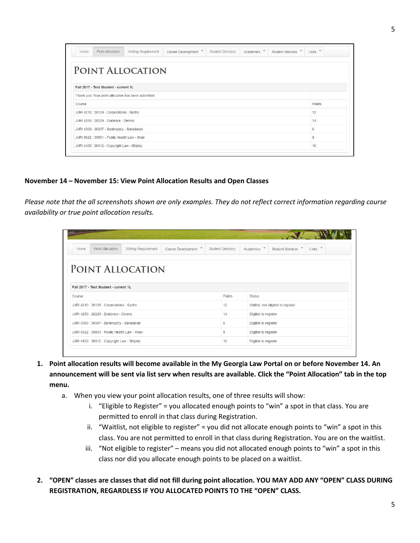| Writing Requirement<br>Point Allocation<br>Home      | Career Development | Student Directory | Academics V | <b>Student Services</b> | Links  |
|------------------------------------------------------|--------------------|-------------------|-------------|-------------------------|--------|
| POINT ALLOCATION                                     |                    |                   |             |                         |        |
|                                                      |                    |                   |             |                         |        |
| Fall 2017 - Test Student - current 1L                |                    |                   |             |                         |        |
| Thank you. Your point allocation has been submitted. |                    |                   |             |                         |        |
| Course                                               |                    |                   |             |                         | Points |
| JURI 4210 : 28129 - Corporations - Sachs             |                    |                   |             |                         | 12     |
| JURI 4250 : 28229 - Evidence - Dennis                |                    |                   |             |                         | 14     |
| JURI 4360 : 36907 - Bankruptcy - Baradaran           |                    |                   |             |                         | 6      |
| JURI 5622 : 39851 - Public Health Law - Khan         |                    |                   |             |                         | 8      |
|                                                      |                    |                   |             |                         |        |

#### **November 20 – November 21: View Point Allocation Results and Open Classes**

*Please note that the all screenshots shown are only examples. They do not reflect correct information regarding course availability or true point allocation results.*

| <b>Home</b> | Point Allocation                             | Writing Requirement | Career Development V | <b>Student Directory</b> | Academics V          | <b>Student Services</b>            | $\overline{\phantom{a}}$<br>Links |  |
|-------------|----------------------------------------------|---------------------|----------------------|--------------------------|----------------------|------------------------------------|-----------------------------------|--|
|             |                                              | POINT ALLOCATION    |                      |                          |                      |                                    |                                   |  |
|             | Fall 2017 - Test Student - current 1L        |                     |                      |                          |                      |                                    |                                   |  |
|             |                                              |                     |                      |                          |                      |                                    |                                   |  |
|             |                                              |                     |                      | Points                   | <b>Status</b>        |                                    |                                   |  |
|             | JURI 4210 : 28129 - Corporations - Sachs     |                     |                      | 12                       |                      | Waitlist, not eligible to register |                                   |  |
| Course      | JURI 4250 : 28229 - Evidence - Dennis        |                     |                      | 14                       | Eligible to register |                                    |                                   |  |
|             | JURI 4360 : 36907 - Bankruptcy - Baradaran   |                     |                      | 6                        | Eligible to register |                                    |                                   |  |
|             | JURI 5622 : 39851 - Public Health Law - Khan |                     |                      | 8                        | Eligible to register |                                    |                                   |  |

- **1. Point allocation results will become available in the My Georgia Law Portal on or before November 20. An announcement will be sent via list serv when results are available. Click the "Point Allocation" tab in the top menu.**
	- a. When you view your point allocation results, one of three results will show:
		- i. "Eligible to Register" = you allocated enough points to "win" a spot in that class. You are permitted to enroll in that class during Registration.
		- ii. "Waitlist, not eligible to register" = you did not allocate enough points to "win" a spot in this class. You are not permitted to enroll in that class during Registration. You are on the waitlist.
		- iii. "Not eligible to register" means you did not allocated enough points to "win" a spot in this class nor did you allocate enough points to be placed on a waitlist.
- **2. "OPEN" classes are classes that did not fill during point allocation. YOU MAY ADD ANY "OPEN" CLASS DURING REGISTRATION, REGARDLESS IF YOU ALLOCATED POINTS TO THE "OPEN" CLASS.**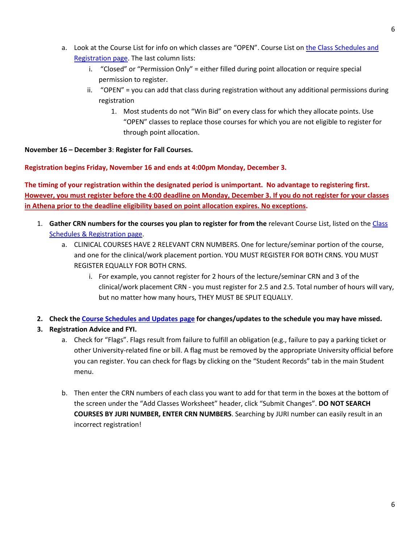- a. Look at the Course List for info on which classes are "OPEN". Course List on [the Class Schedules and](http://law.uga.edu/class-schedules-registration) [Registration page.](http://law.uga.edu/class-schedules-registration) The last column lists:
	- i. "Closed" or "Permission Only" = either filled during point allocation or require special permission to register.
	- ii. "OPEN" = you can add that class during registration without any additional permissions during registration
		- 1. Most students do not "Win Bid" on every class for which they allocate points. Use "OPEN" classes to replace those courses for which you are not eligible to register for through point allocation.

**November 22 – December 9**: **Register for Fall Courses.** 

**Registration begins Friday, November 22 and ends at 4:00pm Monday, December 9.** 

**The timing of your registration within the designated period is unimportant. No advantage to registering first. However, you must register before the 4:00 deadline on Monday, December 9. If you do not register for your classes in Athena prior to the deadline eligibility based on point allocation expires. No exceptions.** 

- 1. **Gather CRN numbers for the courses you plan to register for from the** relevant Course List, listed on the [Class](http://www.law.uga.edu/class-schedules-registration) [Schedules & Registration page.](http://www.law.uga.edu/class-schedules-registration)
	- a. CLINICAL COURSES HAVE 2 RELEVANT CRN NUMBERS. One for lecture/seminar portion of the course, and one for the clinical/work placement portion. YOU MUST REGISTER FOR BOTH CRNS. YOU MUST REGISTER EQUALLY FOR BOTH CRNS.
		- i. For example, you cannot register for 2 hours of the lecture/seminar CRN and 3 of the clinical/work placement CRN - you must register for 2.5 and 2.5. Total number of hours will vary, but no matter how many hours, THEY MUST BE SPLIT EQUALLY.
- **2. Check th[e Course Schedules and Updates page](http://law.uga.edu/2015-2016-course-and-schedule-updates) for changes/updates to the schedule you may have missed.**
- **3. Registration Advice and FYI.**
	- a. Check for "Flags". Flags result from failure to fulfill an obligation (e.g., failure to pay a parking ticket or other University-related fine or bill. A flag must be removed by the appropriate University official before you can register. You can check for flags by clicking on the "Student Records" tab in the main Student menu.
	- b. Then enter the CRN numbers of each class you want to add for that term in the boxes at the bottom of the screen under the "Add Classes Worksheet" header, click "Submit Changes". **DO NOT SEARCH COURSES BY JURI NUMBER, ENTER CRN NUMBERS**. Searching by JURI number can easily result in an incorrect registration!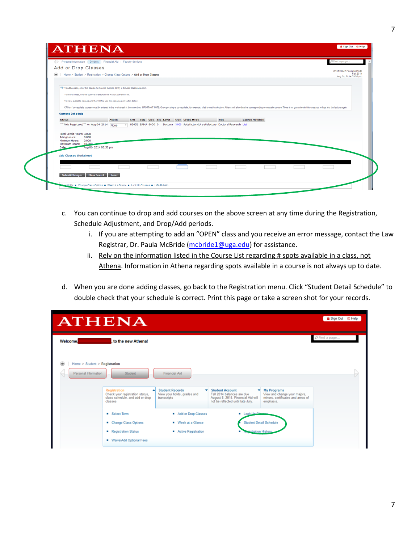|                                                        | 4 Personal Information Student Financial Aid   Faculty Services                                                                                                                                                                |                                                                                                       |                         | PFind a page                         |
|--------------------------------------------------------|--------------------------------------------------------------------------------------------------------------------------------------------------------------------------------------------------------------------------------|-------------------------------------------------------------------------------------------------------|-------------------------|--------------------------------------|
| Add or Drop Classes                                    |                                                                                                                                                                                                                                |                                                                                                       |                         | 810170242 Paula McBride<br>Fall 2014 |
| $\circledast$                                          | Home > Student > Registration > Change Class Options > Add or Drop Classes                                                                                                                                                     |                                                                                                       |                         | Aug 06, 2014 03:50 pm                |
|                                                        |                                                                                                                                                                                                                                |                                                                                                       |                         |                                      |
|                                                        | To add a class, enter the Course Reference Number (CRN) in the Add Classes section.                                                                                                                                            |                                                                                                       |                         |                                      |
|                                                        | To drop a class, use the options available in the Action pull-down list.                                                                                                                                                       |                                                                                                       |                         |                                      |
|                                                        | To view available classes and their CRNs, use the class search button below.                                                                                                                                                   |                                                                                                       |                         |                                      |
|                                                        | CRNs of co-requisite courses must be entered in the worksheet at the same time. MPORTANT NOTE: Once you drop a co-requisite, for example, a lab to match a lecture, Athena will also drop the corresponding co-requisite cours |                                                                                                       |                         |                                      |
| <b>Current Schedule</b>                                |                                                                                                                                                                                                                                |                                                                                                       |                         |                                      |
| <b>Status</b>                                          | <b>Action</b><br>CRN Subj Crse Sec Level Cred Grade Mode                                                                                                                                                                       | <b>Title</b><br>- 82452 EADU 9000 0 Doctoral 3,000 Satisfactory/Unsatisfactory Doctoral Research List | <b>Course Materials</b> |                                      |
| ** Web Registered** on Aug 04, 2014 None               |                                                                                                                                                                                                                                |                                                                                                       |                         |                                      |
| Total Credit Hours: 3,000                              |                                                                                                                                                                                                                                |                                                                                                       |                         |                                      |
| 3.000<br><b>Billing Hours:</b><br>Minimum Hours: 0.000 |                                                                                                                                                                                                                                |                                                                                                       |                         |                                      |
| Maximum Hours: 18,000<br>Date:                         | Aug 06, 2014 03:50 pm                                                                                                                                                                                                          |                                                                                                       |                         |                                      |
|                                                        |                                                                                                                                                                                                                                |                                                                                                       |                         |                                      |
|                                                        |                                                                                                                                                                                                                                |                                                                                                       |                         |                                      |
| <b>Add Classes Worksheet</b>                           |                                                                                                                                                                                                                                |                                                                                                       |                         |                                      |
|                                                        |                                                                                                                                                                                                                                |                                                                                                       |                         |                                      |

- c. You can continue to drop and add courses on the above screen at any time during the Registration, Schedule Adjustment, and Drop/Add periods.
	- i. If you are attempting to add an "OPEN" class and you receive an error message, contact the Law Registrar, Dr. Paula McBride [\(mcbride1@uga.edu\)](mailto:mcbride1@uga.edu) for assistance.
	- ii. Rely on the information listed in the Course List regarding # spots available in a class, not Athena. Information in Athena regarding spots available in a course is not always up to date.
- d. When you are done adding classes, go back to the Registration menu. Click "Student Detail Schedule" to double check that your schedule is correct. Print this page or take a screen shot for your records.

| <b>ATHENA</b>                                             |                                                                                                      |                                                                           |                                                                                                                                      |                                                                                                      | Sign Out <sup>®</sup> Help |  |
|-----------------------------------------------------------|------------------------------------------------------------------------------------------------------|---------------------------------------------------------------------------|--------------------------------------------------------------------------------------------------------------------------------------|------------------------------------------------------------------------------------------------------|----------------------------|--|
| <b>Welcome.</b>                                           | to the new Athena!                                                                                   |                                                                           |                                                                                                                                      |                                                                                                      | $\rho$ Find a page         |  |
| Home $>$ Student $>$ Registration<br>Personal Information | Student                                                                                              | <b>Financial Aid</b>                                                      |                                                                                                                                      |                                                                                                      |                            |  |
|                                                           | <b>Registration</b><br>Check your registration status,<br>class schedule, and add or drop<br>classes | <b>Student Records</b><br>۰<br>View your holds, grades and<br>transcripts | <b>Student Account</b><br>▼<br>Fall 2014 balances are due<br>August 8, 2014. Financial Aid will<br>not be reflected until late July. | <b>My Programs</b><br>View and change your majors,<br>minors, certificates and areas of<br>emphasis. |                            |  |
|                                                           | <b>B</b> Select Term<br>■ Change Class Options<br>Registration Status<br>Waive/Add Optional Fees     | Add or Drop Classes<br>Week at a Glance<br>Active Registration            | Look He Old<br><b>istration History</b>                                                                                              | <b>Student Detail Schedule</b>                                                                       |                            |  |